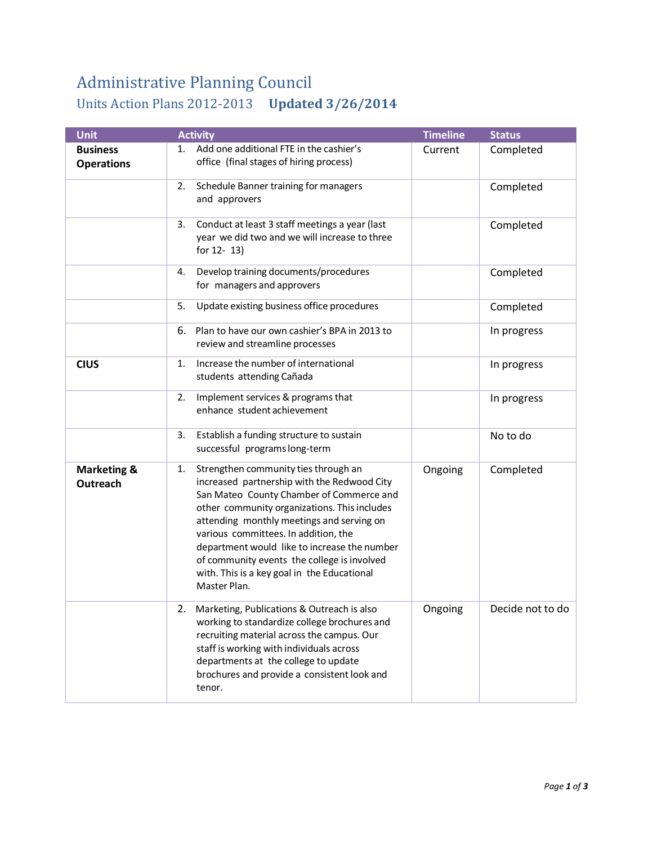## Administrative Planning Council Units Action Plans 2012-2013 **Updated 3/26/2014**

| <b>Unit</b>                          | <b>Activity</b>                                                                                                                                                                                                                                                                                                                                                                                                                          | <b>Timeline</b> | <b>Status</b>    |
|--------------------------------------|------------------------------------------------------------------------------------------------------------------------------------------------------------------------------------------------------------------------------------------------------------------------------------------------------------------------------------------------------------------------------------------------------------------------------------------|-----------------|------------------|
| <b>Business</b><br><b>Operations</b> | 1. Add one additional FTE in the cashier's<br>office (final stages of hiring process)                                                                                                                                                                                                                                                                                                                                                    | Current         | Completed        |
|                                      | Schedule Banner training for managers<br>2.<br>and approvers                                                                                                                                                                                                                                                                                                                                                                             |                 | Completed        |
|                                      | Conduct at least 3 staff meetings a year (last<br>3.<br>year we did two and we will increase to three<br>for $12 - 13$ )                                                                                                                                                                                                                                                                                                                 |                 | Completed        |
|                                      | Develop training documents/procedures<br>4.<br>for managers and approvers                                                                                                                                                                                                                                                                                                                                                                |                 | Completed        |
|                                      | Update existing business office procedures<br>5.                                                                                                                                                                                                                                                                                                                                                                                         |                 | Completed        |
|                                      | Plan to have our own cashier's BPA in 2013 to<br>6.<br>review and streamline processes                                                                                                                                                                                                                                                                                                                                                   |                 | In progress      |
| <b>CIUS</b>                          | Increase the number of international<br>1.<br>students attending Cañada                                                                                                                                                                                                                                                                                                                                                                  |                 | In progress      |
|                                      | Implement services & programs that<br>2.<br>enhance student achievement                                                                                                                                                                                                                                                                                                                                                                  |                 | In progress      |
|                                      | Establish a funding structure to sustain<br>3.<br>successful programs long-term                                                                                                                                                                                                                                                                                                                                                          |                 | No to do         |
| <b>Marketing &amp;</b><br>Outreach   | Strengthen community ties through an<br>1.<br>increased partnership with the Redwood City<br>San Mateo County Chamber of Commerce and<br>other community organizations. This includes<br>attending monthly meetings and serving on<br>various committees. In addition, the<br>department would like to increase the number<br>of community events the college is involved<br>with. This is a key goal in the Educational<br>Master Plan. | Ongoing         | Completed        |
|                                      | Marketing, Publications & Outreach is also<br>2.<br>working to standardize college brochures and<br>recruiting material across the campus. Our<br>staff is working with individuals across<br>departments at the college to update<br>brochures and provide a consistent look and<br>tenor.                                                                                                                                              | Ongoing         | Decide not to do |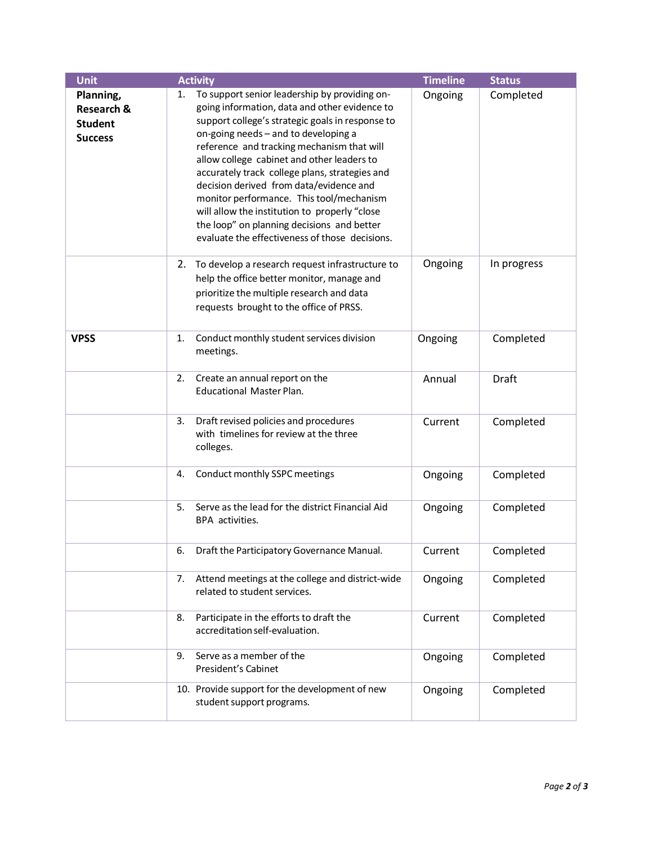| <b>Unit</b>                                                            | <b>Activity</b>                                                                                                                                                                                                                                                                                                                                                                                                                                                                                                                                                                        | <b>Timeline</b> | <b>Status</b> |
|------------------------------------------------------------------------|----------------------------------------------------------------------------------------------------------------------------------------------------------------------------------------------------------------------------------------------------------------------------------------------------------------------------------------------------------------------------------------------------------------------------------------------------------------------------------------------------------------------------------------------------------------------------------------|-----------------|---------------|
| Planning,<br><b>Research &amp;</b><br><b>Student</b><br><b>Success</b> | To support senior leadership by providing on-<br>1.<br>going information, data and other evidence to<br>support college's strategic goals in response to<br>on-going needs - and to developing a<br>reference and tracking mechanism that will<br>allow college cabinet and other leaders to<br>accurately track college plans, strategies and<br>decision derived from data/evidence and<br>monitor performance. This tool/mechanism<br>will allow the institution to properly "close<br>the loop" on planning decisions and better<br>evaluate the effectiveness of those decisions. | Ongoing         | Completed     |
|                                                                        | 2. To develop a research request infrastructure to<br>help the office better monitor, manage and<br>prioritize the multiple research and data<br>requests brought to the office of PRSS.                                                                                                                                                                                                                                                                                                                                                                                               | Ongoing         | In progress   |
| <b>VPSS</b>                                                            | Conduct monthly student services division<br>1.<br>meetings.                                                                                                                                                                                                                                                                                                                                                                                                                                                                                                                           | Ongoing         | Completed     |
|                                                                        | Create an annual report on the<br>2.<br><b>Educational Master Plan.</b>                                                                                                                                                                                                                                                                                                                                                                                                                                                                                                                | Annual          | Draft         |
|                                                                        | Draft revised policies and procedures<br>3.<br>with timelines for review at the three<br>colleges.                                                                                                                                                                                                                                                                                                                                                                                                                                                                                     | Current         | Completed     |
|                                                                        | Conduct monthly SSPC meetings<br>4.                                                                                                                                                                                                                                                                                                                                                                                                                                                                                                                                                    | Ongoing         | Completed     |
|                                                                        | Serve as the lead for the district Financial Aid<br>5.<br>BPA activities.                                                                                                                                                                                                                                                                                                                                                                                                                                                                                                              | Ongoing         | Completed     |
|                                                                        | 6.<br>Draft the Participatory Governance Manual.                                                                                                                                                                                                                                                                                                                                                                                                                                                                                                                                       | Current         | Completed     |
|                                                                        | Attend meetings at the college and district-wide<br>7.<br>related to student services.                                                                                                                                                                                                                                                                                                                                                                                                                                                                                                 | Ongoing         | Completed     |
|                                                                        | Participate in the efforts to draft the<br>8.<br>accreditation self-evaluation.                                                                                                                                                                                                                                                                                                                                                                                                                                                                                                        | Current         | Completed     |
|                                                                        | Serve as a member of the<br>9.<br>President's Cabinet                                                                                                                                                                                                                                                                                                                                                                                                                                                                                                                                  | Ongoing         | Completed     |
|                                                                        | 10. Provide support for the development of new<br>student support programs.                                                                                                                                                                                                                                                                                                                                                                                                                                                                                                            | Ongoing         | Completed     |